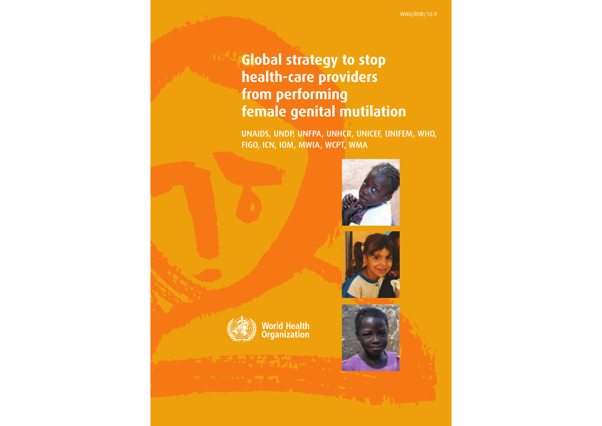WHO/RHR/10.9

# **Global strategy to stop health-care providers from performing female genital mutilation**

UNAIDS, UNDP, UNFPA, UNHCR, UNICEF, UNIFEM, WHO, FIGO, ICN, IOM, MWIA, WCPT, WMA







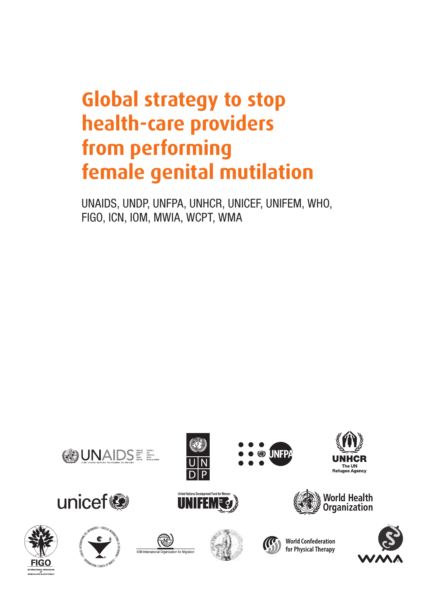# **Global strategy to stop health-care providers from performing female genital mutilation**

UNAIDS, UNDP, UNFPA, UNHCR, UNICEF, UNIFEM, WHO, FIGO, ICN, IOM, MWIA, WCPT, WMA

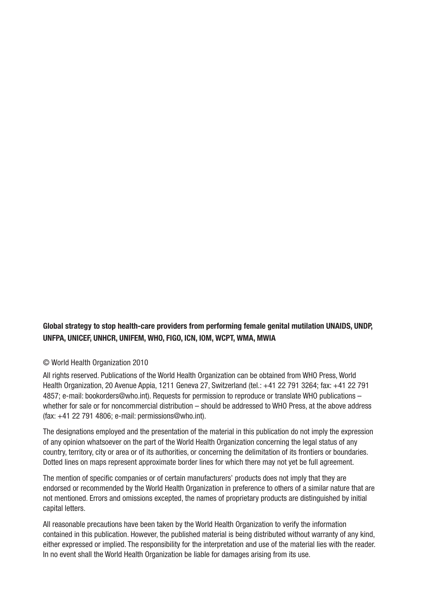#### **Global strategy to stop health-care providers from performing female genital mutilation UNAIDS, UNDP, UNFPA, UNICEF, UNHCR, UNIFEM, WHO, FIGO, ICN, IOM, WCPT, WMA, MWIA**

#### © World Health Organization 2010

All rights reserved. Publications of the World Health Organization can be obtained from WHO Press, World Health Organization, 20 Avenue Appia, 1211 Geneva 27, Switzerland (tel.: +41 22 791 3264; fax: +41 22 791 4857; e-mail: bookorders@who.int). Requests for permission to reproduce or translate WHO publications – whether for sale or for noncommercial distribution – should be addressed to WHO Press, at the above address (fax: +41 22 791 4806; e-mail: permissions@who.int).

The designations employed and the presentation of the material in this publication do not imply the expression of any opinion whatsoever on the part of the World Health Organization concerning the legal status of any country, territory, city or area or of its authorities, or concerning the delimitation of its frontiers or boundaries. Dotted lines on maps represent approximate border lines for which there may not yet be full agreement.

The mention of specific companies or of certain manufacturers' products does not imply that they are endorsed or recommended by the World Health Organization in preference to others of a similar nature that are not mentioned. Errors and omissions excepted, the names of proprietary products are distinguished by initial capital letters.

All reasonable precautions have been taken by the World Health Organization to verify the information contained in this publication. However, the published material is being distributed without warranty of any kind, either expressed or implied. The responsibility for the interpretation and use of the material lies with the reader. In no event shall the World Health Organization be liable for damages arising from its use.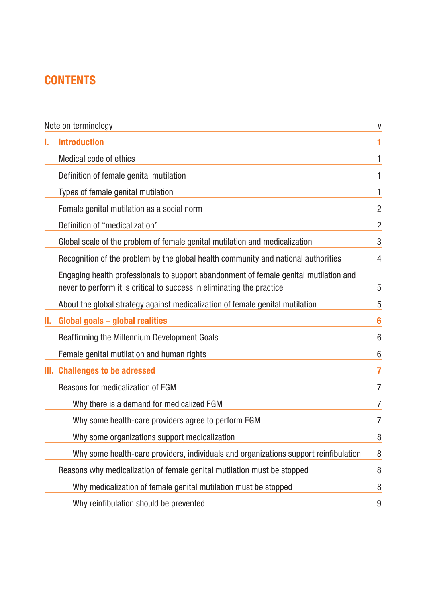# **CONTENTS**

| Note on terminology |                                                                                                                                                                 | V              |
|---------------------|-----------------------------------------------------------------------------------------------------------------------------------------------------------------|----------------|
| ı.                  | <b>Introduction</b>                                                                                                                                             | 1              |
|                     | Medical code of ethics                                                                                                                                          | 1              |
|                     | Definition of female genital mutilation                                                                                                                         | 1              |
|                     | Types of female genital mutilation                                                                                                                              | 1              |
|                     | Female genital mutilation as a social norm                                                                                                                      | $\overline{c}$ |
|                     | Definition of "medicalization"                                                                                                                                  | $\overline{c}$ |
|                     | Global scale of the problem of female genital mutilation and medicalization                                                                                     | 3              |
|                     | Recognition of the problem by the global health community and national authorities                                                                              | 4              |
|                     | Engaging health professionals to support abandonment of female genital mutilation and<br>never to perform it is critical to success in eliminating the practice | 5              |
|                     | About the global strategy against medicalization of female genital mutilation                                                                                   | 5              |
| н.                  | Global goals - global realities                                                                                                                                 | 6              |
|                     | Reaffirming the Millennium Development Goals                                                                                                                    | 6              |
|                     | Female genital mutilation and human rights                                                                                                                      | 6              |
| Ш.                  | <b>Challenges to be adressed</b>                                                                                                                                | 7              |
|                     | Reasons for medicalization of FGM                                                                                                                               | 7              |
|                     | Why there is a demand for medicalized FGM                                                                                                                       | 7              |
|                     | Why some health-care providers agree to perform FGM                                                                                                             | 7              |
|                     | Why some organizations support medicalization                                                                                                                   | 8              |
|                     | Why some health-care providers, individuals and organizations support reinfibulation                                                                            | 8              |
|                     | Reasons why medicalization of female genital mutilation must be stopped                                                                                         | 8              |
|                     | Why medicalization of female genital mutilation must be stopped                                                                                                 | 8              |
|                     | Why reinfibulation should be prevented                                                                                                                          | 9              |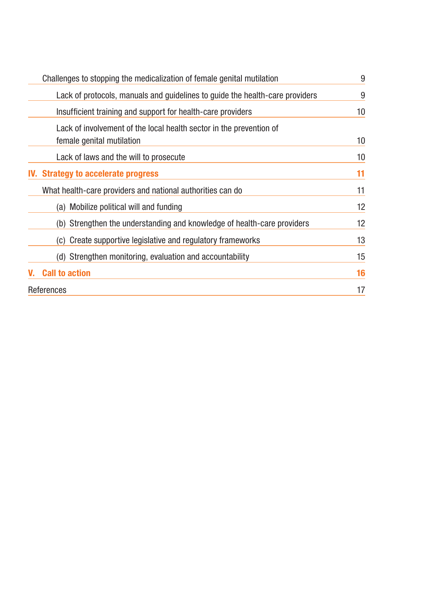|  | Challenges to stopping the medicalization of female genital mutilation                           | 9  |
|--|--------------------------------------------------------------------------------------------------|----|
|  | Lack of protocols, manuals and guidelines to guide the health-care providers                     | 9  |
|  | Insufficient training and support for health-care providers                                      | 10 |
|  | Lack of involvement of the local health sector in the prevention of<br>female genital mutilation | 10 |
|  | Lack of laws and the will to prosecute                                                           | 10 |
|  | <b>Strategy to accelerate progress</b>                                                           | 11 |
|  | What health-care providers and national authorities can do                                       | 11 |
|  | (a) Mobilize political will and funding                                                          | 12 |
|  | (b) Strengthen the understanding and knowledge of health-care providers                          | 12 |
|  | Create supportive legislative and regulatory frameworks<br>(C)                                   | 13 |
|  | (d) Strengthen monitoring, evaluation and accountability                                         | 15 |
|  | <b>Call to action</b>                                                                            | 16 |
|  | References                                                                                       |    |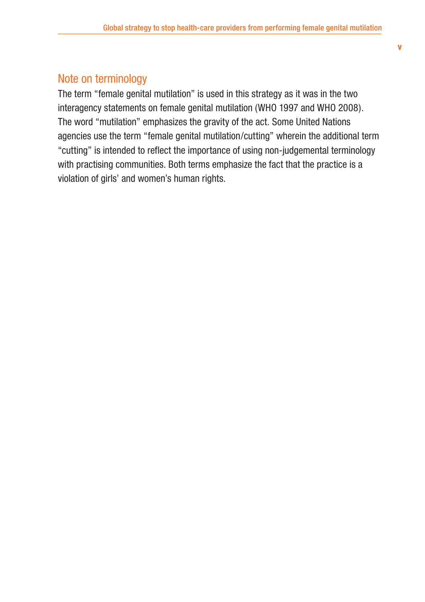**v**

## Note on terminology

The term "female genital mutilation" is used in this strategy as it was in the two interagency statements on female genital mutilation (WHO 1997 and WHO 2008). The word "mutilation" emphasizes the gravity of the act. Some United Nations agencies use the term "female genital mutilation/cutting" wherein the additional term "cutting" is intended to reflect the importance of using non-judgemental terminology with practising communities. Both terms emphasize the fact that the practice is a violation of girls' and women's human rights.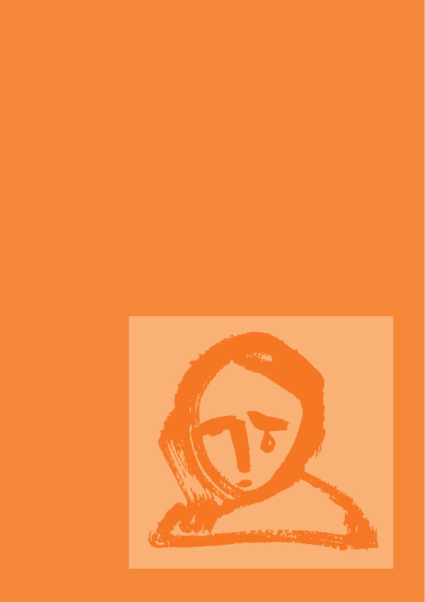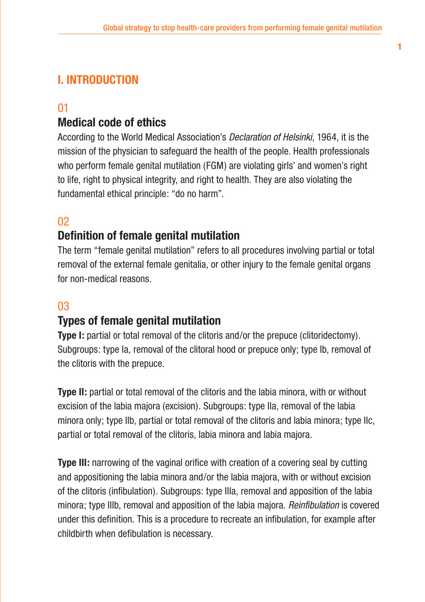# **I. INTRODUCTION**

#### 01

## **Medical code of ethics**

According to the World Medical Association's Declaration of Helsinki, 1964, it is the mission of the physician to safeguard the health of the people. Health professionals who perform female genital mutilation (FGM) are violating girls' and women's right to life, right to physical integrity, and right to health. They are also violating the fundamental ethical principle: "do no harm".

#### 02

#### **Definition of female genital mutilation**

The term "female genital mutilation" refers to all procedures involving partial or total removal of the external female genitalia, or other injury to the female genital organs for non-medical reasons.

#### 03

### **Types of female genital mutilation**

**Type I:** partial or total removal of the clitoris and/or the prepuce (clitoridectomy). Subgroups: type Ia, removal of the clitoral hood or prepuce only; type Ib, removal of the clitoris with the prepuce.

**Type II:** partial or total removal of the clitoris and the labia minora, with or without excision of the labia majora (excision). Subgroups: type IIa, removal of the labia minora only; type IIb, partial or total removal of the clitoris and labia minora; type IIc, partial or total removal of the clitoris, labia minora and labia majora.

**Type III:** narrowing of the vaginal orifice with creation of a covering seal by cutting and appositioning the labia minora and/or the labia majora, with or without excision of the clitoris (infibulation). Subgroups: type IIIa, removal and apposition of the labia minora; type IIIb, removal and apposition of the labia majora. Reinfibulation is covered under this definition. This is a procedure to recreate an infibulation, for example after childbirth when defibulation is necessary.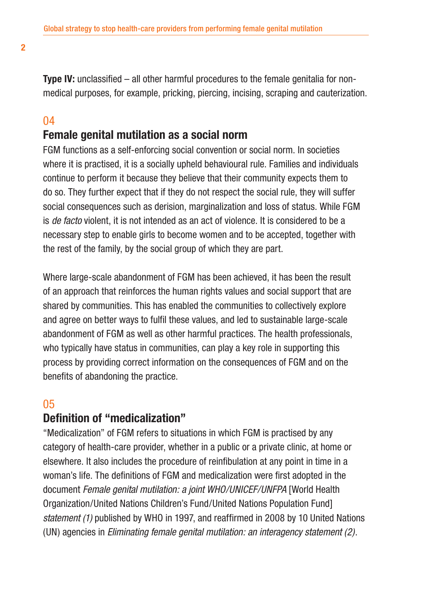**Type IV:** unclassified – all other harmful procedures to the female genitalia for nonmedical purposes, for example, pricking, piercing, incising, scraping and cauterization.

#### 04

#### **Female genital mutilation as a social norm**

FGM functions as a self-enforcing social convention or social norm. In societies where it is practised, it is a socially upheld behavioural rule. Families and individuals continue to perform it because they believe that their community expects them to do so. They further expect that if they do not respect the social rule, they will suffer social consequences such as derision, marginalization and loss of status. While FGM is de facto violent, it is not intended as an act of violence. It is considered to be a necessary step to enable girls to become women and to be accepted, together with the rest of the family, by the social group of which they are part.

Where large-scale abandonment of FGM has been achieved, it has been the result of an approach that reinforces the human rights values and social support that are shared by communities. This has enabled the communities to collectively explore and agree on better ways to fulfil these values, and led to sustainable large-scale abandonment of FGM as well as other harmful practices. The health professionals, who typically have status in communities, can play a key role in supporting this process by providing correct information on the consequences of FGM and on the benefits of abandoning the practice.

#### 05

### **Definition of "medicalization"**

"Medicalization" of FGM refers to situations in which FGM is practised by any category of health-care provider, whether in a public or a private clinic, at home or elsewhere. It also includes the procedure of reinfibulation at any point in time in a woman's life. The definitions of FGM and medicalization were first adopted in the document Female genital mutilation: a joint WHO/UNICEF/UNFPA [World Health Organization/United Nations Children's Fund/United Nations Population Fund] statement (1) published by WHO in 1997, and reaffirmed in 2008 by 10 United Nations (UN) agencies in Eliminating female genital mutilation: an interagency statement (2).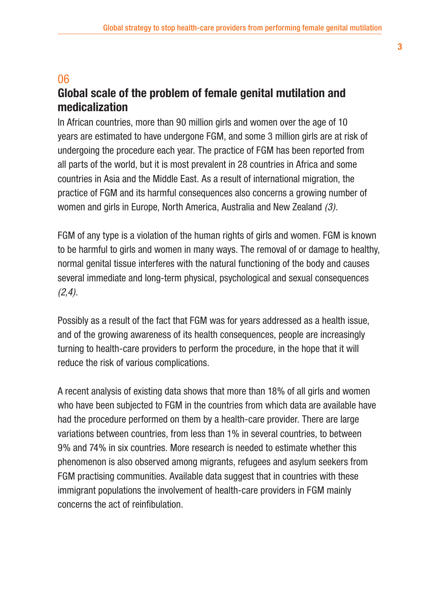## 06 **Global scale of the problem of female genital mutilation and medicalization**

In African countries, more than 90 million girls and women over the age of 10 years are estimated to have undergone FGM, and some 3 million girls are at risk of undergoing the procedure each year. The practice of FGM has been reported from all parts of the world, but it is most prevalent in 28 countries in Africa and some countries in Asia and the Middle East. As a result of international migration, the practice of FGM and its harmful consequences also concerns a growing number of women and girls in Europe, North America, Australia and New Zealand (3).

FGM of any type is a violation of the human rights of girls and women. FGM is known to be harmful to girls and women in many ways. The removal of or damage to healthy, normal genital tissue interferes with the natural functioning of the body and causes several immediate and long-term physical, psychological and sexual consequences  $(2,4)$ .

Possibly as a result of the fact that FGM was for years addressed as a health issue, and of the growing awareness of its health consequences, people are increasingly turning to health-care providers to perform the procedure, in the hope that it will reduce the risk of various complications.

A recent analysis of existing data shows that more than 18% of all girls and women who have been subjected to FGM in the countries from which data are available have had the procedure performed on them by a health-care provider. There are large variations between countries, from less than 1% in several countries, to between 9% and 74% in six countries. More research is needed to estimate whether this phenomenon is also observed among migrants, refugees and asylum seekers from FGM practising communities. Available data suggest that in countries with these immigrant populations the involvement of health-care providers in FGM mainly concerns the act of reinfibulation.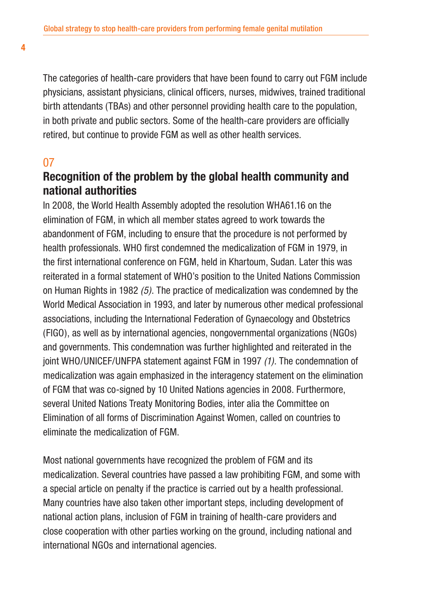The categories of health-care providers that have been found to carry out FGM include physicians, assistant physicians, clinical officers, nurses, midwives, trained traditional birth attendants (TBAs) and other personnel providing health care to the population, in both private and public sectors. Some of the health-care providers are officially retired, but continue to provide FGM as well as other health services.

#### 07

## **Recognition of the problem by the global health community and national authorities**

In 2008, the World Health Assembly adopted the resolution WHA61.16 on the elimination of FGM, in which all member states agreed to work towards the abandonment of FGM, including to ensure that the procedure is not performed by health professionals. WHO first condemned the medicalization of FGM in 1979, in the first international conference on FGM, held in Khartoum, Sudan. Later this was reiterated in a formal statement of WHO's position to the United Nations Commission on Human Rights in 1982 (5). The practice of medicalization was condemned by the World Medical Association in 1993, and later by numerous other medical professional associations, including the International Federation of Gynaecology and Obstetrics (FIGO), as well as by international agencies, nongovernmental organizations (NGOs) and governments. This condemnation was further highlighted and reiterated in the joint WHO/UNICEF/UNFPA statement against FGM in 1997 (1). The condemnation of medicalization was again emphasized in the interagency statement on the elimination of FGM that was co-signed by 10 United Nations agencies in 2008. Furthermore, several United Nations Treaty Monitoring Bodies, inter alia the Committee on Elimination of all forms of Discrimination Against Women, called on countries to eliminate the medicalization of FGM.

Most national governments have recognized the problem of FGM and its medicalization. Several countries have passed a law prohibiting FGM, and some with a special article on penalty if the practice is carried out by a health professional. Many countries have also taken other important steps, including development of national action plans, inclusion of FGM in training of health-care providers and close cooperation with other parties working on the ground, including national and international NGOs and international agencies.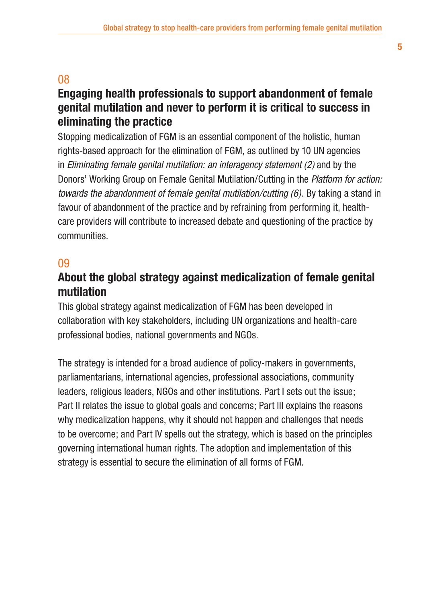### 08

# **Engaging health professionals to support abandonment of female genital mutilation and never to perform it is critical to success in eliminating the practice**

Stopping medicalization of FGM is an essential component of the holistic, human rights-based approach for the elimination of FGM, as outlined by 10 UN agencies in Eliminating female genital mutilation: an interagency statement (2) and by the Donors' Working Group on Female Genital Mutilation/Cutting in the Platform for action: towards the abandonment of female genital mutilation/cutting (6). By taking a stand in favour of abandonment of the practice and by refraining from performing it, healthcare providers will contribute to increased debate and questioning of the practice by communities.

#### 09

## **About the global strategy against medicalization of female genital mutilation**

This global strategy against medicalization of FGM has been developed in collaboration with key stakeholders, including UN organizations and health-care professional bodies, national governments and NGOs.

The strategy is intended for a broad audience of policy-makers in governments, parliamentarians, international agencies, professional associations, community leaders, religious leaders, NGOs and other institutions. Part I sets out the issue; Part II relates the issue to global goals and concerns; Part III explains the reasons why medicalization happens, why it should not happen and challenges that needs to be overcome; and Part IV spells out the strategy, which is based on the principles governing international human rights. The adoption and implementation of this strategy is essential to secure the elimination of all forms of FGM.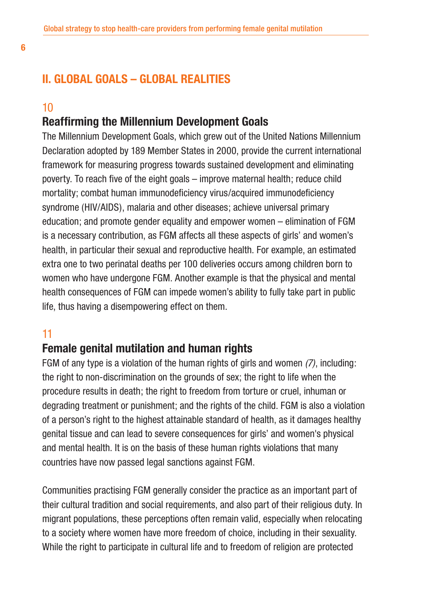# **II. GLOBAL GOALS – GLOBAL REALITIES**

#### 10

### **Reaffirming the Millennium Development Goals**

The Millennium Development Goals, which grew out of the United Nations Millennium Declaration adopted by 189 Member States in 2000, provide the current international framework for measuring progress towards sustained development and eliminating poverty. To reach five of the eight goals – improve maternal health; reduce child mortality; combat human immunodeficiency virus/acquired immunodeficiency syndrome (HIV/AIDS), malaria and other diseases; achieve universal primary education; and promote gender equality and empower women – elimination of FGM is a necessary contribution, as FGM affects all these aspects of girls' and women's health, in particular their sexual and reproductive health. For example, an estimated extra one to two perinatal deaths per 100 deliveries occurs among children born to women who have undergone FGM. Another example is that the physical and mental health consequences of FGM can impede women's ability to fully take part in public life, thus having a disempowering effect on them.

#### 11

## **Female genital mutilation and human rights**

FGM of any type is a violation of the human rights of girls and women (7), including: the right to non-discrimination on the grounds of sex; the right to life when the procedure results in death; the right to freedom from torture or cruel, inhuman or degrading treatment or punishment; and the rights of the child. FGM is also a violation of a person's right to the highest attainable standard of health, as it damages healthy genital tissue and can lead to severe consequences for girls' and women's physical and mental health. It is on the basis of these human rights violations that many countries have now passed legal sanctions against FGM.

Communities practising FGM generally consider the practice as an important part of their cultural tradition and social requirements, and also part of their religious duty. In migrant populations, these perceptions often remain valid, especially when relocating to a society where women have more freedom of choice, including in their sexuality. While the right to participate in cultural life and to freedom of religion are protected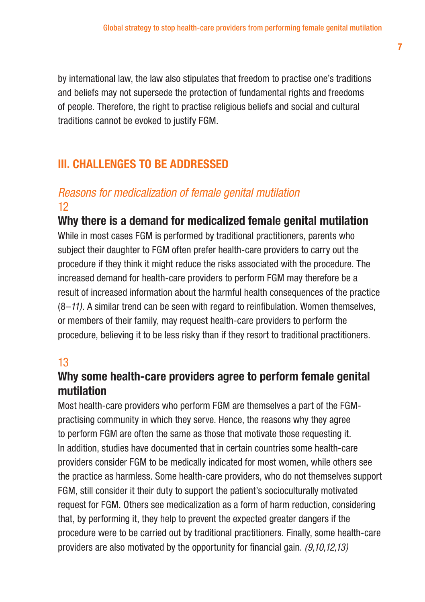by international law, the law also stipulates that freedom to practise one's traditions and beliefs may not supersede the protection of fundamental rights and freedoms of people. Therefore, the right to practise religious beliefs and social and cultural traditions cannot be evoked to justify FGM.

# **III. CHALLENGES TO BE ADDRESSED**

# Reasons for medicalization of female genital mutilation 12

# **Why there is a demand for medicalized female genital mutilation**

While in most cases FGM is performed by traditional practitioners, parents who subject their daughter to FGM often prefer health-care providers to carry out the procedure if they think it might reduce the risks associated with the procedure. The increased demand for health-care providers to perform FGM may therefore be a result of increased information about the harmful health consequences of the practice (8–11). A similar trend can be seen with regard to reinfibulation. Women themselves, or members of their family, may request health-care providers to perform the procedure, believing it to be less risky than if they resort to traditional practitioners.

#### 13

# **Why some health-care providers agree to perform female genital mutilation**

Most health-care providers who perform FGM are themselves a part of the FGMpractising community in which they serve. Hence, the reasons why they agree to perform FGM are often the same as those that motivate those requesting it. In addition, studies have documented that in certain countries some health-care providers consider FGM to be medically indicated for most women, while others see the practice as harmless. Some health-care providers, who do not themselves support FGM, still consider it their duty to support the patient's socioculturally motivated request for FGM. Others see medicalization as a form of harm reduction, considering that, by performing it, they help to prevent the expected greater dangers if the procedure were to be carried out by traditional practitioners. Finally, some health-care providers are also motivated by the opportunity for financial gain. (9,10,12,13)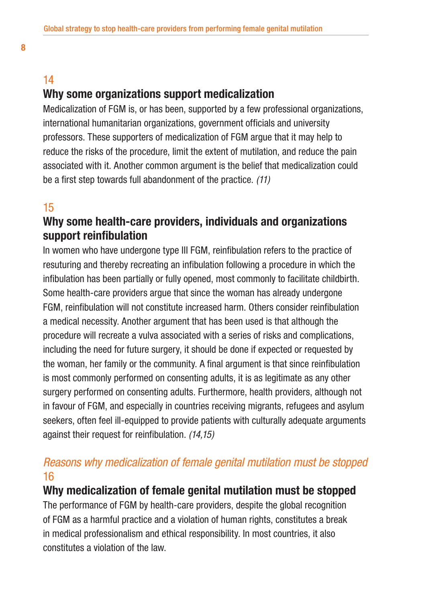#### 14

## **Why some organizations support medicalization**

Medicalization of FGM is, or has been, supported by a few professional organizations, international humanitarian organizations, government officials and university professors. These supporters of medicalization of FGM argue that it may help to reduce the risks of the procedure, limit the extent of mutilation, and reduce the pain associated with it. Another common argument is the belief that medicalization could be a first step towards full abandonment of the practice. (11)

#### 15

## **Why some health-care providers, individuals and organizations support reinfibulation**

In women who have undergone type III FGM, reinfibulation refers to the practice of resuturing and thereby recreating an infibulation following a procedure in which the infibulation has been partially or fully opened, most commonly to facilitate childbirth. Some health-care providers argue that since the woman has already undergone FGM, reinfibulation will not constitute increased harm. Others consider reinfibulation a medical necessity. Another argument that has been used is that although the procedure will recreate a vulva associated with a series of risks and complications, including the need for future surgery, it should be done if expected or requested by the woman, her family or the community. A final argument is that since reinfibulation is most commonly performed on consenting adults, it is as legitimate as any other surgery performed on consenting adults. Furthermore, health providers, although not in favour of FGM, and especially in countries receiving migrants, refugees and asylum seekers, often feel ill-equipped to provide patients with culturally adequate arguments against their request for reinfibulation. (14,15)

## Reasons why medicalization of female genital mutilation must be stopped 16

#### **Why medicalization of female genital mutilation must be stopped**

The performance of FGM by health-care providers, despite the global recognition of FGM as a harmful practice and a violation of human rights, constitutes a break in medical professionalism and ethical responsibility. In most countries, it also constitutes a violation of the law.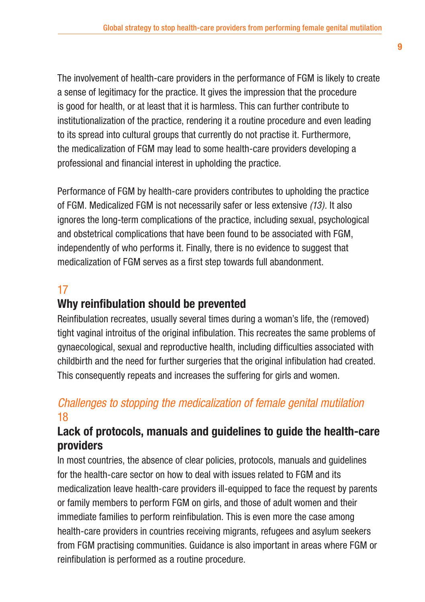The involvement of health-care providers in the performance of FGM is likely to create a sense of legitimacy for the practice. It gives the impression that the procedure is good for health, or at least that it is harmless. This can further contribute to institutionalization of the practice, rendering it a routine procedure and even leading to its spread into cultural groups that currently do not practise it. Furthermore, the medicalization of FGM may lead to some health-care providers developing a professional and financial interest in upholding the practice.

Performance of FGM by health-care providers contributes to upholding the practice of FGM. Medicalized FGM is not necessarily safer or less extensive (13). It also ignores the long-term complications of the practice, including sexual, psychological and obstetrical complications that have been found to be associated with FGM, independently of who performs it. Finally, there is no evidence to suggest that medicalization of FGM serves as a first step towards full abandonment.

## 17

# **Why reinfibulation should be prevented**

Reinfibulation recreates, usually several times during a woman's life, the (removed) tight vaginal introitus of the original infibulation. This recreates the same problems of gynaecological, sexual and reproductive health, including difficulties associated with childbirth and the need for further surgeries that the original infibulation had created. This consequently repeats and increases the suffering for girls and women.

# Challenges to stopping the medicalization of female genital mutilation 18

# **Lack of protocols, manuals and guidelines to guide the health-care providers**

In most countries, the absence of clear policies, protocols, manuals and guidelines for the health-care sector on how to deal with issues related to FGM and its medicalization leave health-care providers ill-equipped to face the request by parents or family members to perform FGM on girls, and those of adult women and their immediate families to perform reinfibulation. This is even more the case among health-care providers in countries receiving migrants, refugees and asylum seekers from FGM practising communities. Guidance is also important in areas where FGM or reinfibulation is performed as a routine procedure.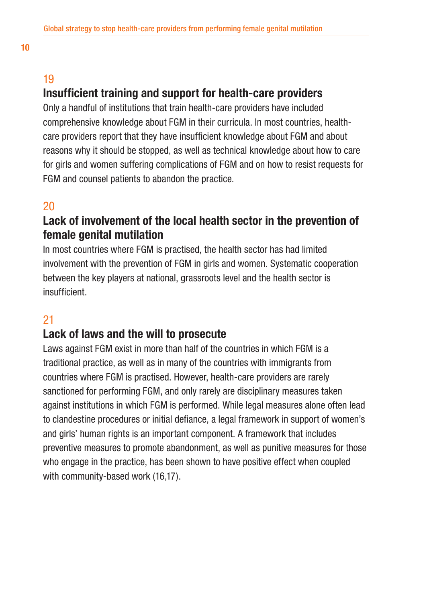## 19

# **Insufficient training and support for health-care providers**

Only a handful of institutions that train health-care providers have included comprehensive knowledge about FGM in their curricula. In most countries, healthcare providers report that they have insufficient knowledge about FGM and about reasons why it should be stopped, as well as technical knowledge about how to care for girls and women suffering complications of FGM and on how to resist requests for FGM and counsel patients to abandon the practice.

#### 20

# **Lack of involvement of the local health sector in the prevention of female genital mutilation**

In most countries where FGM is practised, the health sector has had limited involvement with the prevention of FGM in girls and women. Systematic cooperation between the key players at national, grassroots level and the health sector is insufficient.

### 21

### **Lack of laws and the will to prosecute**

Laws against FGM exist in more than half of the countries in which FGM is a traditional practice, as well as in many of the countries with immigrants from countries where FGM is practised. However, health-care providers are rarely sanctioned for performing FGM, and only rarely are disciplinary measures taken against institutions in which FGM is performed. While legal measures alone often lead to clandestine procedures or initial defiance, a legal framework in support of women's and girls' human rights is an important component. A framework that includes preventive measures to promote abandonment, as well as punitive measures for those who engage in the practice, has been shown to have positive effect when coupled with community-based work (16,17).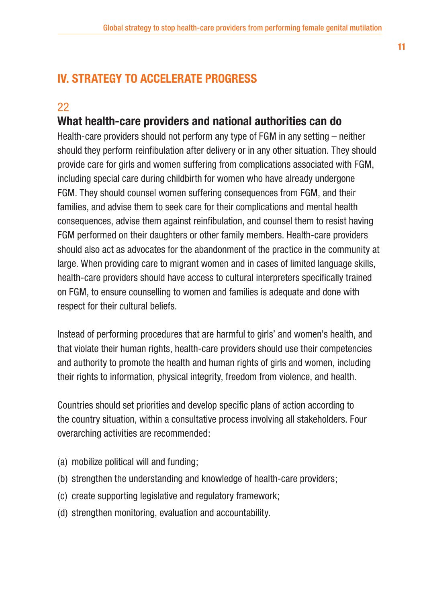# **IV. STRATEGY TO ACCELERATE PROGRESS**

## 22

## **What health-care providers and national authorities can do**

Health-care providers should not perform any type of FGM in any setting – neither should they perform reinfibulation after delivery or in any other situation. They should provide care for girls and women suffering from complications associated with FGM, including special care during childbirth for women who have already undergone FGM. They should counsel women suffering consequences from FGM, and their families, and advise them to seek care for their complications and mental health consequences, advise them against reinfibulation, and counsel them to resist having FGM performed on their daughters or other family members. Health-care providers should also act as advocates for the abandonment of the practice in the community at large. When providing care to migrant women and in cases of limited language skills, health-care providers should have access to cultural interpreters specifically trained on FGM, to ensure counselling to women and families is adequate and done with respect for their cultural beliefs.

Instead of performing procedures that are harmful to girls' and women's health, and that violate their human rights, health-care providers should use their competencies and authority to promote the health and human rights of girls and women, including their rights to information, physical integrity, freedom from violence, and health.

Countries should set priorities and develop specific plans of action according to the country situation, within a consultative process involving all stakeholders. Four overarching activities are recommended:

- (a) mobilize political will and funding;
- (b) strengthen the understanding and knowledge of health-care providers;
- (c) create supporting legislative and regulatory framework;
- (d) strengthen monitoring, evaluation and accountability.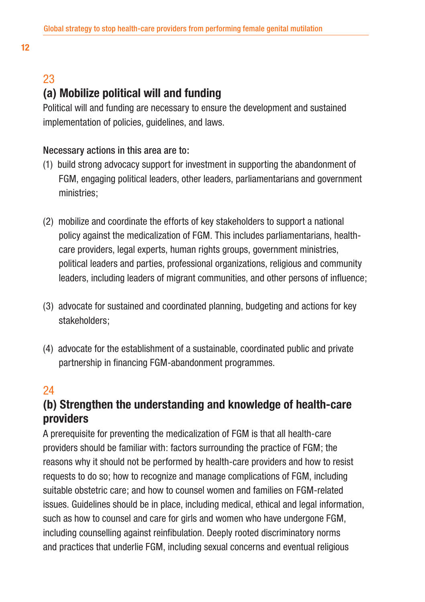## 23

# **(a) Mobilize political will and funding**

Political will and funding are necessary to ensure the development and sustained implementation of policies, guidelines, and laws.

#### Necessary actions in this area are to:

- (1) build strong advocacy support for investment in supporting the abandonment of FGM, engaging political leaders, other leaders, parliamentarians and government ministries;
- (2) mobilize and coordinate the efforts of key stakeholders to support a national policy against the medicalization of FGM. This includes parliamentarians, healthcare providers, legal experts, human rights groups, government ministries, political leaders and parties, professional organizations, religious and community leaders, including leaders of migrant communities, and other persons of influence;
- (3) advocate for sustained and coordinated planning, budgeting and actions for key stakeholders;
- (4) advocate for the establishment of a sustainable, coordinated public and private partnership in financing FGM-abandonment programmes.

### 24

# **(b) Strengthen the understanding and knowledge of health-care providers**

A prerequisite for preventing the medicalization of FGM is that all health-care providers should be familiar with: factors surrounding the practice of FGM; the reasons why it should not be performed by health-care providers and how to resist requests to do so; how to recognize and manage complications of FGM, including suitable obstetric care; and how to counsel women and families on FGM-related issues. Guidelines should be in place, including medical, ethical and legal information, such as how to counsel and care for girls and women who have undergone FGM, including counselling against reinfibulation. Deeply rooted discriminatory norms and practices that underlie FGM, including sexual concerns and eventual religious

**12**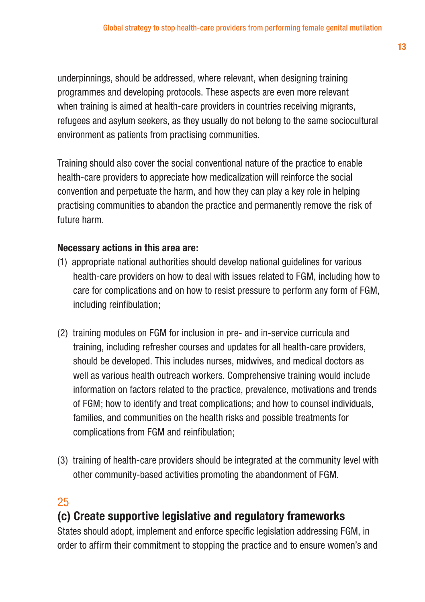underpinnings, should be addressed, where relevant, when designing training programmes and developing protocols. These aspects are even more relevant when training is aimed at health-care providers in countries receiving migrants, refugees and asylum seekers, as they usually do not belong to the same sociocultural environment as patients from practising communities.

Training should also cover the social conventional nature of the practice to enable health-care providers to appreciate how medicalization will reinforce the social convention and perpetuate the harm, and how they can play a key role in helping practising communities to abandon the practice and permanently remove the risk of future harm.

#### **Necessary actions in this area are:**

- (1) appropriate national authorities should develop national guidelines for various health-care providers on how to deal with issues related to FGM, including how to care for complications and on how to resist pressure to perform any form of FGM, including reinfibulation;
- (2) training modules on FGM for inclusion in pre- and in-service curricula and training, including refresher courses and updates for all health-care providers, should be developed. This includes nurses, midwives, and medical doctors as well as various health outreach workers. Comprehensive training would include information on factors related to the practice, prevalence, motivations and trends of FGM; how to identify and treat complications; and how to counsel individuals, families, and communities on the health risks and possible treatments for complications from FGM and reinfibulation;
- (3) training of health-care providers should be integrated at the community level with other community-based activities promoting the abandonment of FGM.

#### 25

### **(c) Create supportive legislative and regulatory frameworks**

States should adopt, implement and enforce specific legislation addressing FGM, in order to affirm their commitment to stopping the practice and to ensure women's and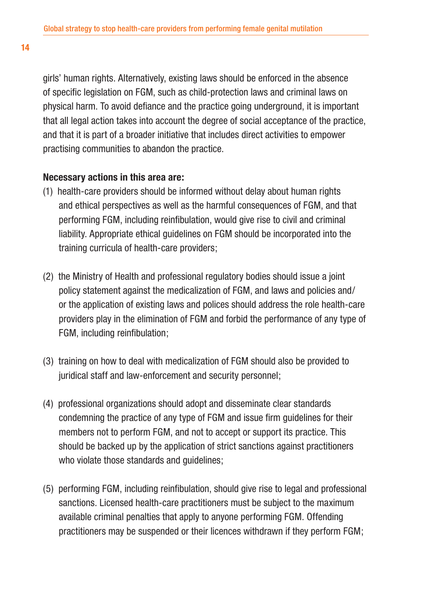girls' human rights. Alternatively, existing laws should be enforced in the absence of specific legislation on FGM, such as child-protection laws and criminal laws on physical harm. To avoid defiance and the practice going underground, it is important that all legal action takes into account the degree of social acceptance of the practice, and that it is part of a broader initiative that includes direct activities to empower practising communities to abandon the practice.

#### **Necessary actions in this area are:**

- (1) health-care providers should be informed without delay about human rights and ethical perspectives as well as the harmful consequences of FGM, and that performing FGM, including reinfibulation, would give rise to civil and criminal liability. Appropriate ethical guidelines on FGM should be incorporated into the training curricula of health-care providers;
- (2) the Ministry of Health and professional regulatory bodies should issue a joint policy statement against the medicalization of FGM, and laws and policies and/ or the application of existing laws and polices should address the role health-care providers play in the elimination of FGM and forbid the performance of any type of FGM, including reinfibulation;
- (3) training on how to deal with medicalization of FGM should also be provided to juridical staff and law-enforcement and security personnel;
- (4) professional organizations should adopt and disseminate clear standards condemning the practice of any type of FGM and issue firm guidelines for their members not to perform FGM, and not to accept or support its practice. This should be backed up by the application of strict sanctions against practitioners who violate those standards and quidelines:
- (5) performing FGM, including reinfibulation, should give rise to legal and professional sanctions. Licensed health-care practitioners must be subject to the maximum available criminal penalties that apply to anyone performing FGM. Offending practitioners may be suspended or their licences withdrawn if they perform FGM;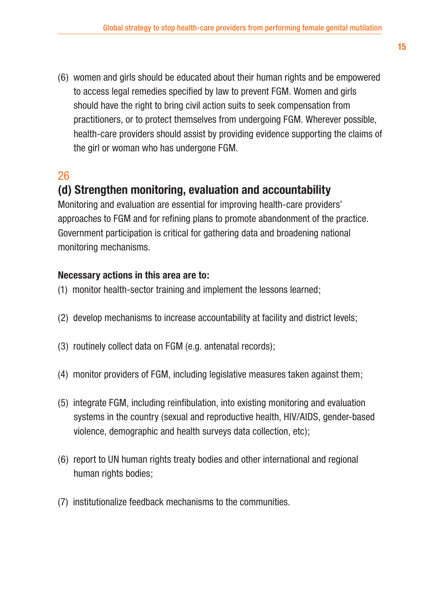(6) women and girls should be educated about their human rights and be empowered to access legal remedies specified by law to prevent FGM. Women and girls should have the right to bring civil action suits to seek compensation from practitioners, or to protect themselves from undergoing FGM. Wherever possible, health-care providers should assist by providing evidence supporting the claims of the girl or woman who has undergone FGM.

#### 26

## **(d) Strengthen monitoring, evaluation and accountability**

Monitoring and evaluation are essential for improving health-care providers' approaches to FGM and for refining plans to promote abandonment of the practice. Government participation is critical for gathering data and broadening national monitoring mechanisms.

#### **Necessary actions in this area are to:**

- (1) monitor health-sector training and implement the lessons learned;
- (2) develop mechanisms to increase accountability at facility and district levels;
- (3) routinely collect data on FGM (e.g. antenatal records);
- (4) monitor providers of FGM, including legislative measures taken against them;
- (5) integrate FGM, including reinfibulation, into existing monitoring and evaluation systems in the country (sexual and reproductive health, HIV/AIDS, gender-based violence, demographic and health surveys data collection, etc);
- (6) report to UN human rights treaty bodies and other international and regional human rights bodies:
- (7) institutionalize feedback mechanisms to the communities.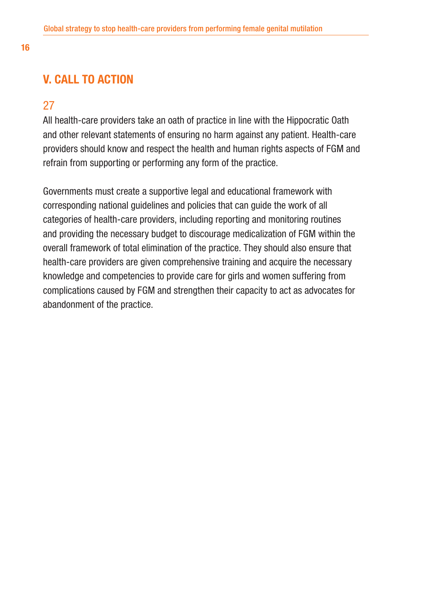## **V. CALL TO ACTION**

#### 27

All health-care providers take an oath of practice in line with the Hippocratic Oath and other relevant statements of ensuring no harm against any patient. Health-care providers should know and respect the health and human rights aspects of FGM and refrain from supporting or performing any form of the practice.

Governments must create a supportive legal and educational framework with corresponding national guidelines and policies that can guide the work of all categories of health-care providers, including reporting and monitoring routines and providing the necessary budget to discourage medicalization of FGM within the overall framework of total elimination of the practice. They should also ensure that health-care providers are given comprehensive training and acquire the necessary knowledge and competencies to provide care for girls and women suffering from complications caused by FGM and strengthen their capacity to act as advocates for abandonment of the practice.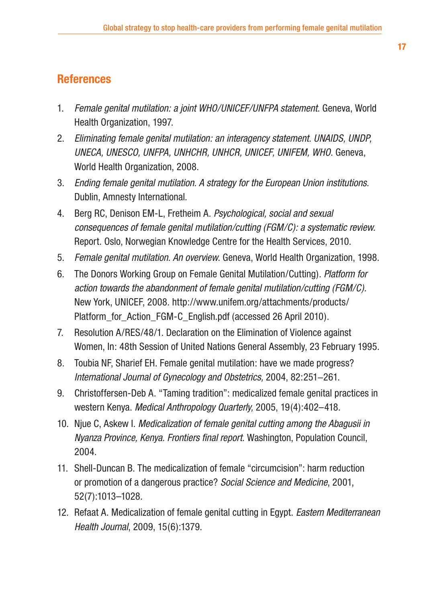## **References**

- 1. Female genital mutilation: a joint WHO/UNICEF/UNFPA statement. Geneva, World Health Organization, 1997.
- 2. Eliminating female genital mutilation: an interagency statement. UNAIDS, UNDP, UNECA, UNESCO, UNFPA, UNHCHR, UNHCR, UNICEF, UNIFEM, WHO. Geneva, World Health Organization, 2008.
- 3. Ending female genital mutilation. A strategy for the European Union institutions. Dublin, Amnesty International.
- 4. Berg RC, Denison EM-L, Fretheim A. Psychological, social and sexual consequences of female genital mutilation/cutting (FGM/C): a systematic review. Report. Oslo, Norwegian Knowledge Centre for the Health Services, 2010.
- 5. Female genital mutilation. An overview. Geneva, World Health Organization, 1998.
- 6. The Donors Working Group on Female Genital Mutilation/Cutting). Platform for action towards the abandonment of female genital mutilation/cutting (FGM/C). New York, UNICEF, 2008. http://www.unifem.org/attachments/products/ Platform for Action FGM-C English.pdf (accessed 26 April 2010).
- 7. Resolution A/RES/48/1. Declaration on the Elimination of Violence against Women, In: 48th Session of United Nations General Assembly, 23 February 1995.
- 8. Toubia NF, Sharief EH. Female genital mutilation: have we made progress? International Journal of Gynecology and Obstetrics, 2004, 82:251−261.
- 9. Christoffersen-Deb A. "Taming tradition": medicalized female genital practices in western Kenya. Medical Anthropology Quarterly, 2005, 19(4):402–418.
- 10. Niue C, Askew I. Medicalization of female genital cutting among the Abagusii in Nyanza Province, Kenya. Frontiers final report. Washington, Population Council, 2004.
- 11. Shell-Duncan B. The medicalization of female "circumcision": harm reduction or promotion of a dangerous practice? Social Science and Medicine, 2001, 52(7):1013–1028.
- 12. Refaat A. Medicalization of female genital cutting in Egypt. Eastern Mediterranean Health Journal, 2009, 15(6):1379.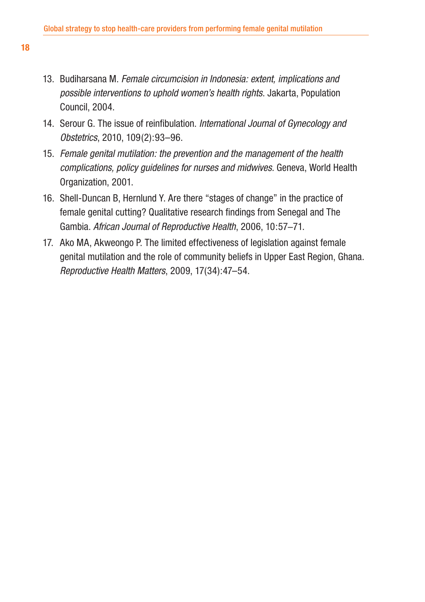- 13. Budiharsana M. Female circumcision in Indonesia: extent, implications and possible interventions to uphold women's health rights. Jakarta, Population Council, 2004.
- 14. Serour G. The issue of reinfibulation. International Journal of Gynecology and Obstetrics, 2010, 109(2):93–96.
- 15. Female genital mutilation: the prevention and the management of the health complications, policy guidelines for nurses and midwives. Geneva, World Health Organization, 2001.
- 16. Shell-Duncan B, Hernlund Y. Are there "stages of change" in the practice of female genital cutting? Qualitative research findings from Senegal and The Gambia. African Journal of Reproductive Health, 2006, 10:57−71.
- 17. Ako MA, Akweongo P. The limited effectiveness of legislation against female genital mutilation and the role of community beliefs in Upper East Region, Ghana. Reproductive Health Matters, 2009, 17(34):47–54.